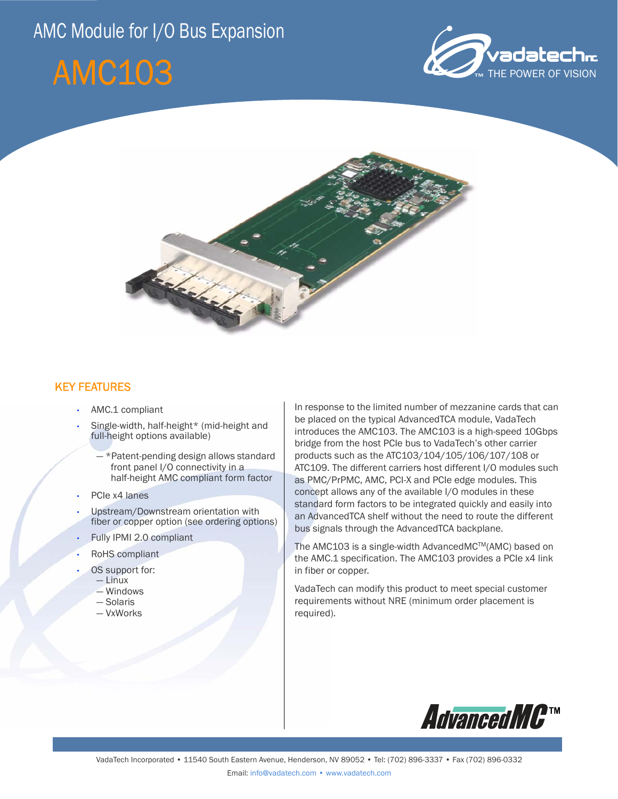# AMC Module for I/O Bus Expansion







### KEY FEATURES

- AMC.1 compliant
- Single-width, half-height\* (mid-height and full-height options available)
	- \*Patent-pending design allows standard front panel I/O connectivity in a half-height AMC compliant form factor
- PCIe x4 lanes
- Upstream/Downstream orientation with fiber or copper option (see ordering options)
- Fully IPMI 2.0 compliant
- RoHS compliant
- OS support for:
	- Linux
	- Windows
	- Solaris
	- VxWorks

In response to the limited number of mezzanine cards that can be placed on the typical AdvancedTCA module, VadaTech introduces the AMC103. The AMC103 is a high-speed 10Gbps bridge from the host PCIe bus to VadaTech's other carrier products such as the ATC103/104/105/106/107/108 or ATC109. The different carriers host different I/O modules such as PMC/PrPMC, AMC, PCI-X and PCIe edge modules. This concept allows any of the available I/O modules in these standard form factors to be integrated quickly and easily into an AdvancedTCA shelf without the need to route the different bus signals through the AdvancedTCA backplane.

The AMC103 is a single-width AdvancedMCTM(AMC) based on the AMC.1 specification. The AMC103 provides a PCIe x4 link in fiber or copper.

VadaTech can modify this product to meet special customer requirements without NRE (minimum order placement is required).

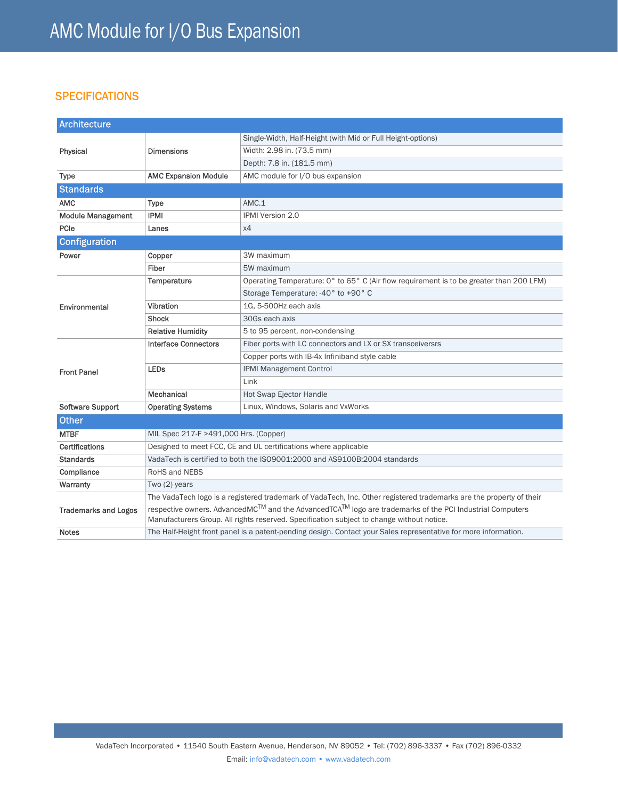## **SPECIFICATIONS**

| <b>Architecture</b>         |                                                                                                                                                                                                      |                                                                                         |
|-----------------------------|------------------------------------------------------------------------------------------------------------------------------------------------------------------------------------------------------|-----------------------------------------------------------------------------------------|
| Physical                    | <b>Dimensions</b>                                                                                                                                                                                    | Single-Width, Half-Height (with Mid or Full Height-options)                             |
|                             |                                                                                                                                                                                                      | Width: 2.98 in. (73.5 mm)                                                               |
|                             |                                                                                                                                                                                                      | Depth: 7.8 in. (181.5 mm)                                                               |
| <b>Type</b>                 | <b>AMC Expansion Module</b>                                                                                                                                                                          | AMC module for I/O bus expansion                                                        |
| <b>Standards</b>            |                                                                                                                                                                                                      |                                                                                         |
| <b>AMC</b>                  | Type                                                                                                                                                                                                 | AMC.1                                                                                   |
| <b>Module Management</b>    | <b>IPMI</b>                                                                                                                                                                                          | <b>IPMI Version 2.0</b>                                                                 |
| PCIe                        | Lanes                                                                                                                                                                                                | x4                                                                                      |
| <b>Configuration</b>        |                                                                                                                                                                                                      |                                                                                         |
| Power                       | Copper                                                                                                                                                                                               | 3W maximum                                                                              |
|                             | Fiber                                                                                                                                                                                                | 5W maximum                                                                              |
| Environmental               | Temperature                                                                                                                                                                                          | Operating Temperature: 0° to 65° C (Air flow requirement is to be greater than 200 LFM) |
|                             |                                                                                                                                                                                                      | Storage Temperature: -40° to +90° C                                                     |
|                             | Vibration                                                                                                                                                                                            | 1G, 5-500Hz each axis                                                                   |
|                             | <b>Shock</b>                                                                                                                                                                                         | 30Gs each axis                                                                          |
|                             | <b>Relative Humidity</b>                                                                                                                                                                             | 5 to 95 percent, non-condensing                                                         |
| <b>Front Panel</b>          | <b>Interface Connectors</b>                                                                                                                                                                          | Fiber ports with LC connectors and LX or SX transceiversrs                              |
|                             |                                                                                                                                                                                                      | Copper ports with IB-4x Infiniband style cable                                          |
|                             | <b>LEDs</b>                                                                                                                                                                                          | <b>IPMI Management Control</b>                                                          |
|                             |                                                                                                                                                                                                      | Link                                                                                    |
|                             | Mechanical                                                                                                                                                                                           | Hot Swap Ejector Handle                                                                 |
| Software Support            | <b>Operating Systems</b>                                                                                                                                                                             | Linux, Windows, Solaris and VxWorks                                                     |
| <b>Other</b>                |                                                                                                                                                                                                      |                                                                                         |
| <b>MTBF</b>                 | MIL Spec 217-F >491,000 Hrs. (Copper)                                                                                                                                                                |                                                                                         |
| Certifications              | Designed to meet FCC, CE and UL certifications where applicable                                                                                                                                      |                                                                                         |
| <b>Standards</b>            | VadaTech is certified to both the ISO9001:2000 and AS9100B:2004 standards                                                                                                                            |                                                                                         |
| Compliance                  | RoHS and NEBS                                                                                                                                                                                        |                                                                                         |
| Warranty                    | Two (2) years                                                                                                                                                                                        |                                                                                         |
| <b>Trademarks and Logos</b> | The VadaTech logo is a registered trademark of VadaTech, Inc. Other registered trademarks are the property of their                                                                                  |                                                                                         |
|                             | respective owners. AdvancedMC™ and the AdvancedTCA™ logo are trademarks of the PCI Industrial Computers<br>Manufacturers Group. All rights reserved. Specification subject to change without notice. |                                                                                         |
| <b>Notes</b>                | The Half-Height front panel is a patent-pending design. Contact your Sales representative for more information.                                                                                      |                                                                                         |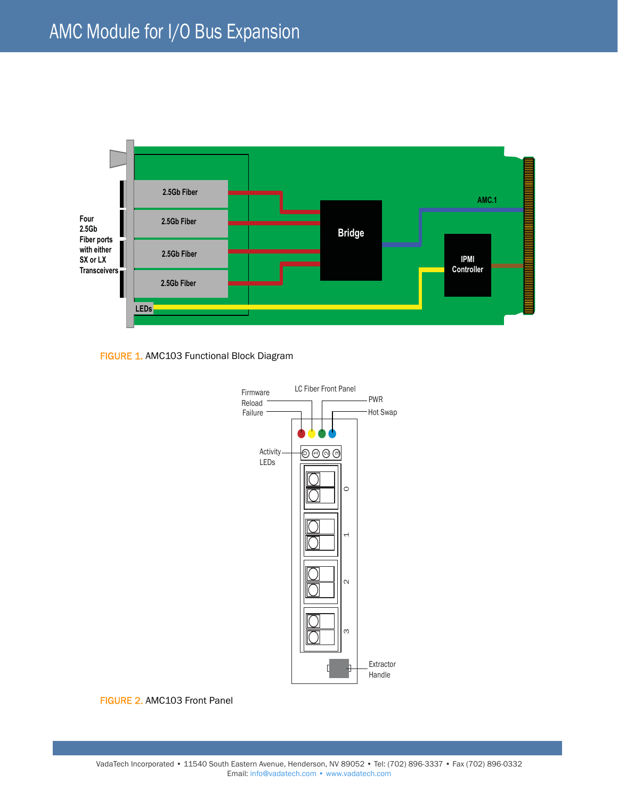





FIGURE 2. AMC103 Front Panel